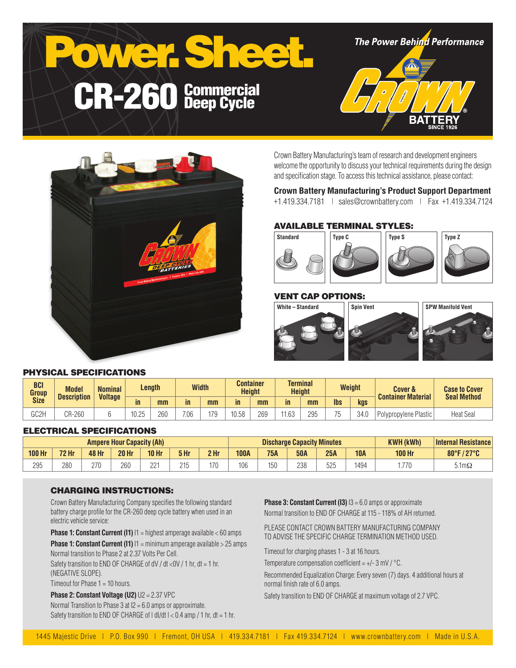



Crown Battery Manufacturing's team of research and development engineers welcome the opportunity to discuss your technical requirements during the design and specification stage. To access this technical assistance, please contact:

#### **Crown Battery Manufacturing's Product Support Department**

+1.419.334.7181 | sales@crownbattery.com | Fax +1.419.334.7124

## AVAILABLE TERMINAL STYLES:



## VENT CAP OPTIONS:



#### PHYSICAL SPECIFICATIONS

| <b>BCI</b><br>Group<br><b>Size</b> | <b>Model</b><br><b>Description</b> | <b>Nominal</b><br><b>Voltage</b> | Length |     | <b>Width</b> |     |       | Container<br><b>Height</b> |              | <b>Terminal</b><br><b>Height</b> |            | Weight | <b>Cover &amp;</b><br><b>Container Material</b> | <b>Case to Cover</b><br><b>Seal Method</b> |
|------------------------------------|------------------------------------|----------------------------------|--------|-----|--------------|-----|-------|----------------------------|--------------|----------------------------------|------------|--------|-------------------------------------------------|--------------------------------------------|
|                                    |                                    |                                  | in     | mm  | in           | mm  | in    | mm                         | in           | mm                               | <b>lbs</b> | kgs    |                                                 |                                            |
| GC2H                               | CR-260                             |                                  | 10.25  | 260 | 7.06         | 179 | 10.58 | 269                        | 1162<br>1.UU | 295                              |            | 34.0   | Polypropylene Plastic                           | <b>Heat Seal</b>                           |

#### ELECTRICAL SPECIFICATIONS

| <b>Ampere Hour Capacity (Ah)</b> |              |              |              |              |              | <b>Discharge Capacity Minutes</b> |             |            |            |     | <b>KWH (kWh)</b> | <b>Internal Resistance</b> |                           |
|----------------------------------|--------------|--------------|--------------|--------------|--------------|-----------------------------------|-------------|------------|------------|-----|------------------|----------------------------|---------------------------|
| <b>100 Hr</b>                    | <b>72 Hr</b> | <b>48 Hr</b> | <b>20 Hr</b> | <b>10 Hr</b> | 5 Hr         | 2 <sub>hr</sub>                   | <b>100A</b> | <b>75A</b> | <b>50A</b> | 25A | <b>10A</b>       | <b>100 Hr</b>              | 80°F/27°C<br>$\mathbf{Z}$ |
| 295                              | 280          | 270<br>41 U  | 260          | $22^{\circ}$ | 21F<br>د ا ب | 170                               | 106         | 150        | 238        | 525 | 1494             | .770                       | $5.1 \text{m}\Omega$      |

#### CHARGING INSTRUCTIONS:

Crown Battery Manufacturing Company specifies the following standard battery charge profile for the CR-260 deep cycle battery when used in an electric vehicle service:

**Phase 1: Constant Current (I1)**  $11$  = highest amperage available < 60 amps

**Phase 1: Constant Current (I1)**  $11 = \text{minimum}$  amperage available > 25 amps Normal transition to Phase 2 at 2.37 Volts Per Cell.

Safety transition to END OF CHARGE of dV / dt <0V / 1 hr, dt = 1 hr, (NEGATIVE SLOPE).

Timeout for Phase 1 = 10 hours.

**Phase 2: Constant Voltage (U2)** U2 = 2.37 VPC Normal Transition to Phase 3 at I2 = 6.0 amps or approximate. Safety transition to END OF CHARGE of  $| d|/dt$   $| < 0.4$  amp  $/ 1$  hr,  $dt = 1$  hr. **Phase 3: Constant Current (I3)**  $13 = 6.0$  amps or approximate Normal transition to END OF CHARGE at 115 - 118% of AH returned.

PLEASE CONTACT CROWN BATTERY MANUFACTURING COMPANY TO ADVISE THE SPECIFIC CHARGE TERMINATION METHOD USED.

Timeout for charging phases 1 - 3 at 16 hours.

Temperature compensation coefficient =  $+/- 3$  mV  $/$  °C.

Recommended Equalization Charge: Every seven (7) days. 4 additional hours at normal finish rate of 6.0 amps.

Safety transition to END OF CHARGE at maximum voltage of 2.7 VPC.